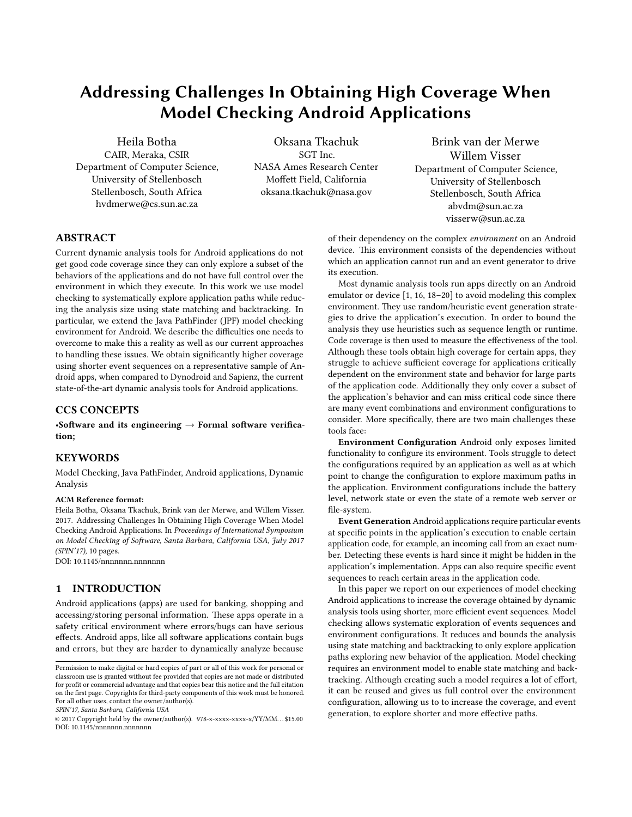# Addressing Challenges In Obtaining High Coverage When Model Checking Android Applications

Heila Botha CAIR, Meraka, CSIR Department of Computer Science, University of Stellenbosch Stellenbosch, South Africa hvdmerwe@cs.sun.ac.za

Oksana Tkachuk SGT Inc. NASA Ames Research Center Moffett Field, California oksana.tkachuk@nasa.gov

Brink van der Merwe Willem Visser Department of Computer Science, University of Stellenbosch Stellenbosch, South Africa abvdm@sun.ac.za visserw@sun.ac.za

# ABSTRACT

Current dynamic analysis tools for Android applications do not get good code coverage since they can only explore a subset of the behaviors of the applications and do not have full control over the environment in which they execute. In this work we use model checking to systematically explore application paths while reducing the analysis size using state matching and backtracking. In particular, we extend the Java PathFinder (JPF) model checking environment for Android. We describe the difficulties one needs to overcome to make this a reality as well as our current approaches to handling these issues. We obtain signicantly higher coverage using shorter event sequences on a representative sample of Android apps, when compared to Dynodroid and Sapienz, the current state-of-the-art dynamic analysis tools for Android applications.

# CCS CONCEPTS

•Software and its engineering  $\rightarrow$  Formal software verification;

# **KEYWORDS**

Model Checking, Java PathFinder, Android applications, Dynamic Analysis

#### ACM Reference format:

Heila Botha, Oksana Tkachuk, Brink van der Merwe, and Willem Visser. 2017. Addressing Challenges In Obtaining High Coverage When Model Checking Android Applications. In Proceedings of International Symposium on Model Checking of Software, Santa Barbara, California USA, July 2017 (SPIN'17), [10](#page-9-0) pages.

DOI: 10.1145/nnnnnnn.nnnnnnn

# 1 INTRODUCTION

Android applications (apps) are used for banking, shopping and accessing/storing personal information. These apps operate in a safety critical environment where errors/bugs can have serious effects. Android apps, like all software applications contain bugs and errors, but they are harder to dynamically analyze because

SPIN'17, Santa Barbara, California USA

of their dependency on the complex environment on an Android device. This environment consists of the dependencies without which an application cannot run and an event generator to drive its execution.

Most dynamic analysis tools run apps directly on an Android emulator or device [\[1,](#page-9-1) [16,](#page-9-2) [18–](#page-9-3)[20\]](#page-9-4) to avoid modeling this complex environment. They use random/heuristic event generation strategies to drive the application's execution. In order to bound the analysis they use heuristics such as sequence length or runtime. Code coverage is then used to measure the effectiveness of the tool. Although these tools obtain high coverage for certain apps, they struggle to achieve sufficient coverage for applications critically dependent on the environment state and behavior for large parts of the application code. Additionally they only cover a subset of the application's behavior and can miss critical code since there are many event combinations and environment configurations to consider. More specifically, there are two main challenges these tools face:

Environment Configuration Android only exposes limited functionality to configure its environment. Tools struggle to detect the configurations required by an application as well as at which point to change the configuration to explore maximum paths in the application. Environment configurations include the battery level, network state or even the state of a remote web server or file-system.

Event Generation Android applications require particular events at specific points in the application's execution to enable certain application code, for example, an incoming call from an exact number. Detecting these events is hard since it might be hidden in the application's implementation. Apps can also require specific event sequences to reach certain areas in the application code.

In this paper we report on our experiences of model checking Android applications to increase the coverage obtained by dynamic analysis tools using shorter, more efficient event sequences. Model checking allows systematic exploration of events sequences and environment configurations. It reduces and bounds the analysis using state matching and backtracking to only explore application paths exploring new behavior of the application. Model checking requires an environment model to enable state matching and backtracking. Although creating such a model requires a lot of effort, it can be reused and gives us full control over the environment configuration, allowing us to to increase the coverage, and event generation, to explore shorter and more effective paths.

Permission to make digital or hard copies of part or all of this work for personal or classroom use is granted without fee provided that copies are not made or distributed for profit or commercial advantage and that copies bear this notice and the full citation on the first page. Copyrights for third-party components of this work must be honored. For all other uses, contact the owner/author(s).

<sup>©</sup> 2017 Copyright held by the owner/author(s). 978-x-xxxx-xxxx-x/YY/MM. . . \$15.00 DOI: 10.1145/nnnnnnn.nnnnnnn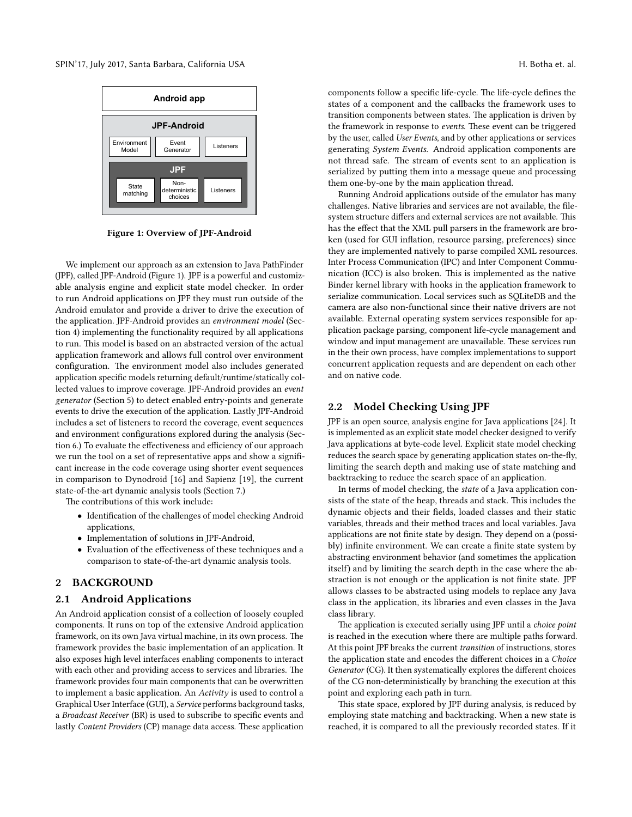<span id="page-1-0"></span>

Figure 1: Overview of JPF-Android

We implement our approach as an extension to Java PathFinder (JPF), called JPF-Android (Figure [1\)](#page-1-0). JPF is a powerful and customizable analysis engine and explicit state model checker. In order to run Android applications on JPF they must run outside of the Android emulator and provide a driver to drive the execution of the application. JPF-Android provides an environment model (Section [4\)](#page-2-0) implementing the functionality required by all applications to run. This model is based on an abstracted version of the actual application framework and allows full control over environment configuration. The environment model also includes generated application specific models returning default/runtime/statically collected values to improve coverage. JPF-Android provides an event generator (Section [5\)](#page-3-0) to detect enabled entry-points and generate events to drive the execution of the application. Lastly JPF-Android includes a set of listeners to record the coverage, event sequences and environment configurations explored during the analysis (Sec-tion [6.](#page-4-0)) To evaluate the effectiveness and efficiency of our approach we run the tool on a set of representative apps and show a significant increase in the code coverage using shorter event sequences in comparison to Dynodroid [\[16\]](#page-9-2) and Sapienz [\[19\]](#page-9-5), the current state-of-the-art dynamic analysis tools (Section [7.](#page-5-0))

The contributions of this work include:

- Identification of the challenges of model checking Android applications,
- Implementation of solutions in JPF-Android,
- $\bullet~$  Evaluation of the effectiveness of these techniques and a comparison to state-of-the-art dynamic analysis tools.

#### 2 BACKGROUND

#### 2.1 Android Applications

An Android application consist of a collection of loosely coupled components. It runs on top of the extensive Android application framework, on its own Java virtual machine, in its own process. The framework provides the basic implementation of an application. It also exposes high level interfaces enabling components to interact with each other and providing access to services and libraries. The framework provides four main components that can be overwritten to implement a basic application. An Activity is used to control a Graphical User Interface (GUI), a Service performs background tasks, a Broadcast Receiver (BR) is used to subscribe to specific events and lastly Content Providers (CP) manage data access. These application

components follow a specific life-cycle. The life-cycle defines the states of a component and the callbacks the framework uses to transition components between states. The application is driven by the framework in response to events. These event can be triggered by the user, called User Events, and by other applications or services generating System Events. Android application components are not thread safe. The stream of events sent to an application is serialized by putting them into a message queue and processing them one-by-one by the main application thread.

Running Android applications outside of the emulator has many challenges. Native libraries and services are not available, the filesystem structure differs and external services are not available. This has the effect that the XML pull parsers in the framework are broken (used for GUI inflation, resource parsing, preferences) since they are implemented natively to parse compiled XML resources. Inter Process Communication (IPC) and Inter Component Communication (ICC) is also broken. This is implemented as the native Binder kernel library with hooks in the application framework to serialize communication. Local services such as SQLiteDB and the camera are also non-functional since their native drivers are not available. External operating system services responsible for application package parsing, component life-cycle management and window and input management are unavailable. These services run in the their own process, have complex implementations to support concurrent application requests and are dependent on each other and on native code.

## 2.2 Model Checking Using JPF

JPF is an open source, analysis engine for Java applications [\[24\]](#page-9-6). It is implemented as an explicit state model checker designed to verify Java applications at byte-code level. Explicit state model checking reduces the search space by generating application states on-the-fly, limiting the search depth and making use of state matching and backtracking to reduce the search space of an application.

In terms of model checking, the state of a Java application consists of the state of the heap, threads and stack. This includes the dynamic objects and their fields, loaded classes and their static variables, threads and their method traces and local variables. Java applications are not finite state by design. They depend on a (possibly) infinite environment. We can create a finite state system by abstracting environment behavior (and sometimes the application itself) and by limiting the search depth in the case where the abstraction is not enough or the application is not finite state. JPF allows classes to be abstracted using models to replace any Java class in the application, its libraries and even classes in the Java class library.

The application is executed serially using JPF until a choice point is reached in the execution where there are multiple paths forward. At this point JPF breaks the current transition of instructions, stores the application state and encodes the different choices in a Choice Generator (CG). It then systematically explores the different choices of the CG non-deterministically by branching the execution at this point and exploring each path in turn.

This state space, explored by JPF during analysis, is reduced by employing state matching and backtracking. When a new state is reached, it is compared to all the previously recorded states. If it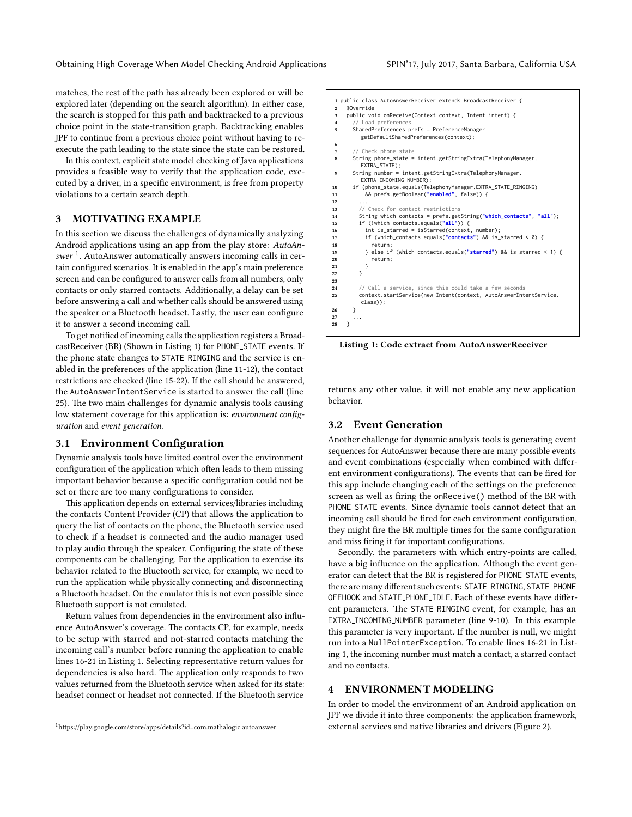matches, the rest of the path has already been explored or will be explored later (depending on the search algorithm). In either case, the search is stopped for this path and backtracked to a previous choice point in the state-transition graph. Backtracking enables JPF to continue from a previous choice point without having to reexecute the path leading to the state since the state can be restored.

In this context, explicit state model checking of Java applications provides a feasible way to verify that the application code, executed by a driver, in a specific environment, is free from property violations to a certain search depth.

## 3 MOTIVATING EXAMPLE

In this section we discuss the challenges of dynamically analyzing Android applications using an app from the play store: AutoAnswer  $^1$  $^1$ . AutoAnswer automatically answers incoming calls in certain configured scenarios. It is enabled in the app's main preference screen and can be configured to answer calls from all numbers, only contacts or only starred contacts. Additionally, a delay can be set before answering a call and whether calls should be answered using the speaker or a Bluetooth headset. Lastly, the user can configure it to answer a second incoming call.

To get notified of incoming calls the application registers a BroadcastReceiver (BR) (Shown in Listing [1\)](#page-2-2) for PHONE STATE events. If the phone state changes to STATE RINGING and the service is enabled in the preferences of the application (line 11-12), the contact restrictions are checked (line 15-22). If the call should be answered, the AutoAnswerIntentService is started to answer the call (line 25). The two main challenges for dynamic analysis tools causing low statement coverage for this application is: environment configuration and event generation.

## 3.1 Environment Configuration

Dynamic analysis tools have limited control over the environment configuration of the application which often leads to them missing important behavior because a specific configuration could not be set or there are too many configurations to consider.

This application depends on external services/libraries including the contacts Content Provider (CP) that allows the application to query the list of contacts on the phone, the Bluetooth service used to check if a headset is connected and the audio manager used to play audio through the speaker. Configuring the state of these components can be challenging. For the application to exercise its behavior related to the Bluetooth service, for example, we need to run the application while physically connecting and disconnecting a Bluetooth headset. On the emulator this is not even possible since Bluetooth support is not emulated.

Return values from dependencies in the environment also influence AutoAnswer's coverage. The contacts CP, for example, needs to be setup with starred and not-starred contacts matching the incoming call's number before running the application to enable lines 16-21 in Listing [1.](#page-2-2) Selecting representative return values for dependencies is also hard. The application only responds to two values returned from the Bluetooth service when asked for its state: headset connect or headset not connected. If the Bluetooth service

```
1 public class AutoAnswerReceiver extends BroadcastReceiver {
     2 @Override
 3 public void onReceive(Context context, Intent intent) {
 4 // Load preferences<br>5 SharedPreferences n
       5 SharedPreferences prefs = PreferenceManager.
          getDefaultSharedPreferences(context);
 6
       // Check phone state
8 String phone_state = intent.getStringExtra(TelephonyManager.
          EXTRA_STATE);
9 String number = intent.getStringExtra(TelephonyManager.
          EXTRA_INCOMING_NUMBER);
10 if (phone_state.equals(TelephonyManager.EXTRA_STATE_RINGING)
11 && prefs.getBoolean("enabled", false)) {
12 ...
13 // Check for contact restrictions
14 String which_contacts = prefs.getString("which_contacts", "all");
15 if (!which_contacts.equals("all")) {
16 int is_starred = isStarred(context, number);<br>17 if (which_contacts.equals("contacts") && is_
17 if (which_contacts.equals("contacts") && is_starred < 0) {
18 return;
19 } else if (which_contacts.equals("starred") && is_starred < 1) {
20 return;<br>21 }\begin{array}{ccc}\n & 21 \\
22 & & \n\end{array}22 }
\frac{23}{24}// Call a service, since this could take a few seconds
25 context.startService(new Intent(context, AutoAnswerIntentService.
          class));
26 }
\frac{27}{28}\overline{3}
```
Listing 1: Code extract from AutoAnswerReceiver

returns any other value, it will not enable any new application behavior.

## 3.2 Event Generation

Another challenge for dynamic analysis tools is generating event sequences for AutoAnswer because there are many possible events and event combinations (especially when combined with different environment configurations). The events that can be fired for this app include changing each of the settings on the preference screen as well as firing the onReceive() method of the BR with PHONE\_STATE events. Since dynamic tools cannot detect that an incoming call should be fired for each environment configuration, they might fire the BR multiple times for the same configuration and miss firing it for important configurations.

Secondly, the parameters with which entry-points are called, have a big influence on the application. Although the event generator can detect that the BR is registered for PHONE STATE events, there are many different such events: STATE\_RINGING, STATE\_PHONE\_ OFFHOOK and STATE\_PHONE\_IDLE. Each of these events have different parameters. The STATE\_RINGING event, for example, has an EXTRA INCOMING NUMBER parameter (line 9-10). In this example this parameter is very important. If the number is null, we might run into a NullPointerException. To enable lines 16-21 in Listing [1,](#page-2-2) the incoming number must match a contact, a starred contact and no contacts.

## <span id="page-2-0"></span>4 ENVIRONMENT MODELING

In order to model the environment of an Android application on JPF we divide it into three components: the application framework, external services and native libraries and drivers (Figure [2\)](#page-3-1).

<span id="page-2-1"></span><sup>&</sup>lt;sup>1</sup>https://play.google.com/store/apps/details?id=com.mathalogic.autoanswer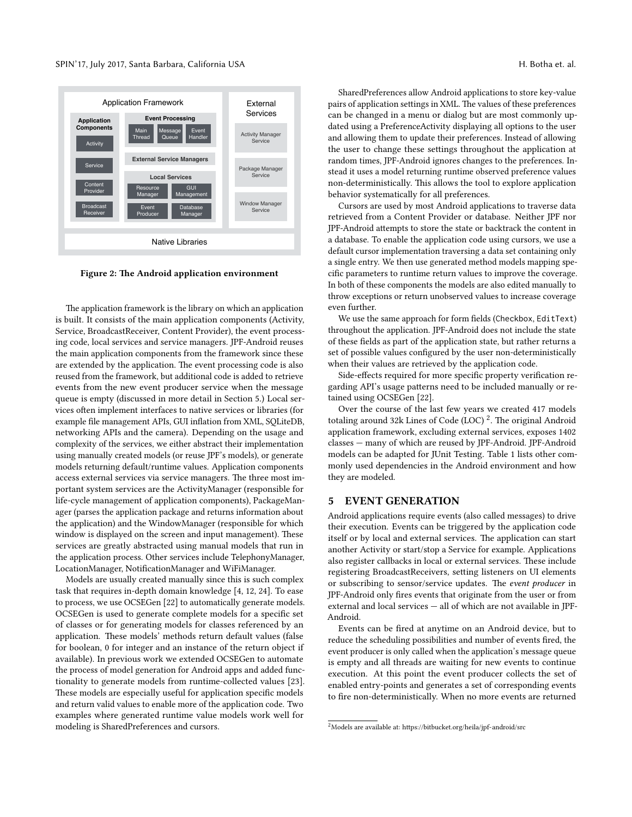<span id="page-3-1"></span>

Figure 2: The Android application environment

The application framework is the library on which an application is built. It consists of the main application components (Activity, Service, BroadcastReceiver, Content Provider), the event processing code, local services and service managers. JPF-Android reuses the main application components from the framework since these are extended by the application. The event processing code is also reused from the framework, but additional code is added to retrieve events from the new event producer service when the message queue is empty (discussed in more detail in Section [5.](#page-3-0)) Local services often implement interfaces to native services or libraries (for example file management APIs, GUI inflation from XML, SQLiteDB, networking APIs and the camera). Depending on the usage and complexity of the services, we either abstract their implementation using manually created models (or reuse JPF's models), or generate models returning default/runtime values. Application components access external services via service managers. The three most important system services are the ActivityManager (responsible for life-cycle management of application components), PackageManager (parses the application package and returns information about the application) and the WindowManager (responsible for which window is displayed on the screen and input management). These services are greatly abstracted using manual models that run in the application process. Other services include TelephonyManager, LocationManager, NotificationManager and WiFiManager.

Models are usually created manually since this is such complex task that requires in-depth domain knowledge [\[4,](#page-9-7) [12,](#page-9-8) [24\]](#page-9-6). To ease to process, we use OCSEGen [\[22\]](#page-9-9) to automatically generate models. OCSEGen is used to generate complete models for a specific set of classes or for generating models for classes referenced by an application. These models' methods return default values (false for boolean, 0 for integer and an instance of the return object if available). In previous work we extended OCSEGen to automate the process of model generation for Android apps and added functionality to generate models from runtime-collected values [\[23\]](#page-9-10). These models are especially useful for application specific models and return valid values to enable more of the application code. Two examples where generated runtime value models work well for modeling is SharedPreferences and cursors.

SharedPreferences allow Android applications to store key-value pairs of application settings in XML. The values of these preferences can be changed in a menu or dialog but are most commonly updated using a PreferenceActivity displaying all options to the user and allowing them to update their preferences. Instead of allowing the user to change these settings throughout the application at random times, JPF-Android ignores changes to the preferences. Instead it uses a model returning runtime observed preference values non-deterministically. This allows the tool to explore application behavior systematically for all preferences.

Cursors are used by most Android applications to traverse data retrieved from a Content Provider or database. Neither JPF nor JPF-Android attempts to store the state or backtrack the content in a database. To enable the application code using cursors, we use a default cursor implementation traversing a data set containing only a single entry. We then use generated method models mapping specific parameters to runtime return values to improve the coverage. In both of these components the models are also edited manually to throw exceptions or return unobserved values to increase coverage even further.

We use the same approach for form fields (Checkbox, EditText) throughout the application. JPF-Android does not include the state of these fields as part of the application state, but rather returns a set of possible values configured by the user non-deterministically when their values are retrieved by the application code.

Side-effects required for more specific property verification regarding API's usage patterns need to be included manually or retained using OCSEGen [\[22\]](#page-9-9).

Over the course of the last few years we created 417 models totaling around 3[2](#page-3-2)k Lines of Code (LOC)  $^2$ . The original Android application framework, excluding external services, exposes 1402 classes — many of which are reused by JPF-Android. JPF-Android models can be adapted for JUnit Testing. Table [1](#page-4-1) lists other commonly used dependencies in the Android environment and how they are modeled.

## <span id="page-3-0"></span>5 EVENT GENERATION

Android applications require events (also called messages) to drive their execution. Events can be triggered by the application code itself or by local and external services. The application can start another Activity or start/stop a Service for example. Applications also register callbacks in local or external services. These include registering BroadcastReceivers, setting listeners on UI elements or subscribing to sensor/service updates. The event producer in JPF-Android only fires events that originate from the user or from external and local services — all of which are not available in JPF-Android.

Events can be fired at anytime on an Android device, but to reduce the scheduling possibilities and number of events fired, the event producer is only called when the application's message queue is empty and all threads are waiting for new events to continue execution. At this point the event producer collects the set of enabled entry-points and generates a set of corresponding events to fire non-deterministically. When no more events are returned

<span id="page-3-2"></span> $2$ Models are available at: https://bitbucket.org/heila/jpf-android/src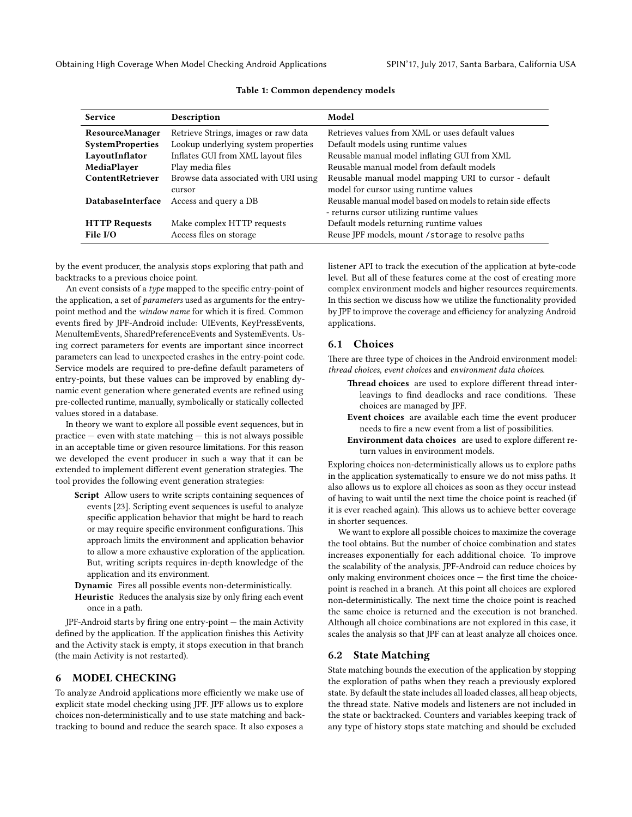<span id="page-4-1"></span>Obtaining High Coverage When Model Checking Android Applications SPIN'17, July 2017, Santa Barbara, California USA

| <b>Service</b>          | Description                           | Model                                                        |
|-------------------------|---------------------------------------|--------------------------------------------------------------|
| <b>ResourceManager</b>  | Retrieve Strings, images or raw data  | Retrieves values from XML or uses default values             |
| <b>SystemProperties</b> | Lookup underlying system properties   | Default models using runtime values                          |
| LayoutInflator          | Inflates GUI from XML layout files    | Reusable manual model inflating GUI from XML                 |
| MediaPlayer             | Play media files                      | Reusable manual model from default models                    |
| ContentRetriever        | Browse data associated with URI using | Reusable manual model mapping URI to cursor - default        |
|                         | cursor                                | model for cursor using runtime values                        |
| DatabaseInterface       | Access and query a DB                 | Reusable manual model based on models to retain side effects |
|                         |                                       | - returns cursor utilizing runtime values                    |
| <b>HTTP Requests</b>    | Make complex HTTP requests            | Default models returning runtime values                      |
| File I/O                | Access files on storage               | Reuse JPF models, mount / storage to resolve paths           |

#### Table 1: Common dependency models

by the event producer, the analysis stops exploring that path and backtracks to a previous choice point.

An event consists of a type mapped to the specific entry-point of the application, a set of *parameters* used as arguments for the entrypoint method and the window name for which it is fired. Common events fired by JPF-Android include: UIEvents, KeyPressEvents, MenuItemEvents, SharedPreferenceEvents and SystemEvents. Using correct parameters for events are important since incorrect parameters can lead to unexpected crashes in the entry-point code. Service models are required to pre-define default parameters of entry-points, but these values can be improved by enabling dynamic event generation where generated events are refined using pre-collected runtime, manually, symbolically or statically collected values stored in a database.

In theory we want to explore all possible event sequences, but in practice — even with state matching — this is not always possible in an acceptable time or given resource limitations. For this reason we developed the event producer in such a way that it can be extended to implement different event generation strategies. The tool provides the following event generation strategies:

Script Allow users to write scripts containing sequences of events [\[23\]](#page-9-10). Scripting event sequences is useful to analyze specific application behavior that might be hard to reach or may require specific environment configurations. This approach limits the environment and application behavior to allow a more exhaustive exploration of the application. But, writing scripts requires in-depth knowledge of the application and its environment.

Dynamic Fires all possible events non-deterministically.

Heuristic Reduces the analysis size by only firing each event once in a path.

 $JPF$ -Android starts by firing one entry-point  $-$  the main Activity defined by the application. If the application finishes this Activity and the Activity stack is empty, it stops execution in that branch (the main Activity is not restarted).

## <span id="page-4-0"></span>6 MODEL CHECKING

To analyze Android applications more efficiently we make use of explicit state model checking using JPF. JPF allows us to explore choices non-deterministically and to use state matching and backtracking to bound and reduce the search space. It also exposes a

listener API to track the execution of the application at byte-code level. But all of these features come at the cost of creating more complex environment models and higher resources requirements. In this section we discuss how we utilize the functionality provided by JPF to improve the coverage and efficiency for analyzing Android applications.

## 6.1 Choices

There are three type of choices in the Android environment model: thread choices, event choices and environment data choices.

- Thread choices are used to explore different thread interleavings to find deadlocks and race conditions. These choices are managed by JPF.
- Event choices are available each time the event producer needs to fire a new event from a list of possibilities.
- Environment data choices are used to explore different return values in environment models.

Exploring choices non-deterministically allows us to explore paths in the application systematically to ensure we do not miss paths. It also allows us to explore all choices as soon as they occur instead of having to wait until the next time the choice point is reached (if it is ever reached again). This allows us to achieve better coverage in shorter sequences.

We want to explore all possible choices to maximize the coverage the tool obtains. But the number of choice combination and states increases exponentially for each additional choice. To improve the scalability of the analysis, JPF-Android can reduce choices by only making environment choices once  $-$  the first time the choicepoint is reached in a branch. At this point all choices are explored non-deterministically. The next time the choice point is reached the same choice is returned and the execution is not branched. Although all choice combinations are not explored in this case, it scales the analysis so that JPF can at least analyze all choices once.

#### 6.2 State Matching

State matching bounds the execution of the application by stopping the exploration of paths when they reach a previously explored state. By default the state includes all loaded classes, all heap objects, the thread state. Native models and listeners are not included in the state or backtracked. Counters and variables keeping track of any type of history stops state matching and should be excluded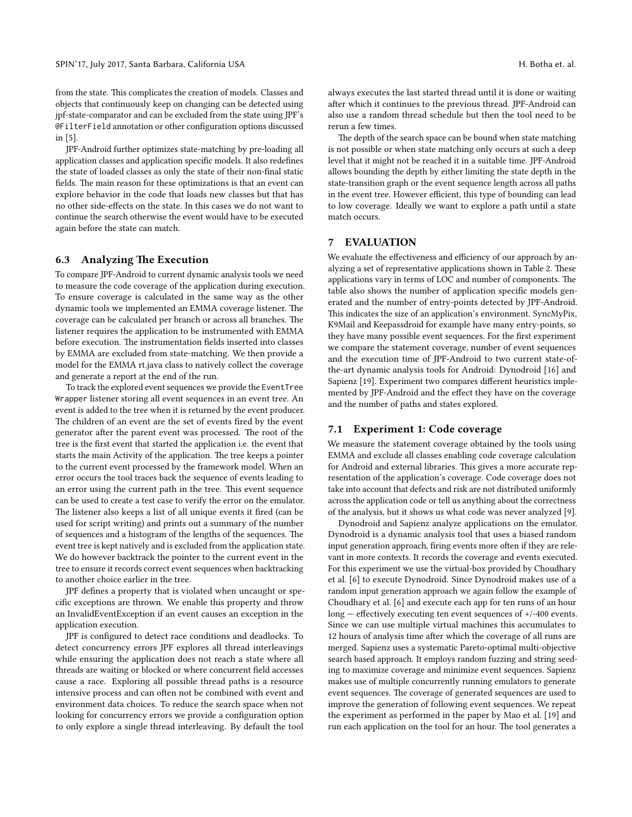from the state. This complicates the creation of models. Classes and objects that continuously keep on changing can be detected using jpf-state-comparator and can be excluded from the state using JPF's @FilterField annotation or other conguration options discussed in [\[5\]](#page-9-11).

JPF-Android further optimizes state-matching by pre-loading all application classes and application specific models. It also redefines the state of loaded classes as only the state of their non-final static fields. The main reason for these optimizations is that an event can explore behavior in the code that loads new classes but that has no other side-effects on the state. In this cases we do not want to continue the search otherwise the event would have to be executed again before the state can match.

#### 6.3 Analyzing The Execution

To compare JPF-Android to current dynamic analysis tools we need to measure the code coverage of the application during execution. To ensure coverage is calculated in the same way as the other dynamic tools we implemented an EMMA coverage listener. The coverage can be calculated per branch or across all branches. The listener requires the application to be instrumented with EMMA before execution. The instrumentation fields inserted into classes by EMMA are excluded from state-matching. We then provide a model for the EMMA rt.java class to natively collect the coverage and generate a report at the end of the run.

To track the explored event sequences we provide the EventTree Wrapper listener storing all event sequences in an event tree. An event is added to the tree when it is returned by the event producer. The children of an event are the set of events fired by the event generator after the parent event was processed. The root of the tree is the first event that started the application i.e. the event that starts the main Activity of the application. The tree keeps a pointer to the current event processed by the framework model. When an error occurs the tool traces back the sequence of events leading to an error using the current path in the tree. This event sequence can be used to create a test case to verify the error on the emulator. The listener also keeps a list of all unique events it fired (can be used for script writing) and prints out a summary of the number of sequences and a histogram of the lengths of the sequences. The event tree is kept natively and is excluded from the application state. We do however backtrack the pointer to the current event in the tree to ensure it records correct event sequences when backtracking to another choice earlier in the tree.

JPF defines a property that is violated when uncaught or specific exceptions are thrown. We enable this property and throw an InvalidEventException if an event causes an exception in the application execution.

JPF is configured to detect race conditions and deadlocks. To detect concurrency errors JPF explores all thread interleavings while ensuring the application does not reach a state where all threads are waiting or blocked or where concurrent field accesses cause a race. Exploring all possible thread paths is a resource intensive process and can often not be combined with event and environment data choices. To reduce the search space when not looking for concurrency errors we provide a configuration option to only explore a single thread interleaving. By default the tool always executes the last started thread until it is done or waiting after which it continues to the previous thread. JPF-Android can also use a random thread schedule but then the tool need to be rerun a few times.

The depth of the search space can be bound when state matching is not possible or when state matching only occurs at such a deep level that it might not be reached it in a suitable time. JPF-Android allows bounding the depth by either limiting the state depth in the state-transition graph or the event sequence length across all paths in the event tree. However efficient, this type of bounding can lead to low coverage. Ideally we want to explore a path until a state match occurs.

# <span id="page-5-0"></span>7 EVALUATION

We evaluate the effectiveness and efficiency of our approach by an-alyzing a set of representative applications shown in Table [2.](#page-6-0) These applications vary in terms of LOC and number of components. The table also shows the number of application specific models generated and the number of entry-points detected by JPF-Android. This indicates the size of an application's environment. SyncMyPix, K9Mail and Keepassdroid for example have many entry-points, so they have many possible event sequences. For the first experiment we compare the statement coverage, number of event sequences and the execution time of JPF-Android to two current state-ofthe-art dynamic analysis tools for Android: Dynodroid [\[16\]](#page-9-2) and Sapienz [\[19\]](#page-9-5). Experiment two compares different heuristics implemented by JPF-Android and the effect they have on the coverage and the number of paths and states explored.

## 7.1 Experiment 1: Code coverage

We measure the statement coverage obtained by the tools using EMMA and exclude all classes enabling code coverage calculation for Android and external libraries. This gives a more accurate representation of the application's coverage. Code coverage does not take into account that defects and risk are not distributed uniformly across the application code or tell us anything about the correctness of the analysis, but it shows us what code was never analyzed [\[9\]](#page-9-12).

Dynodroid and Sapienz analyze applications on the emulator. Dynodroid is a dynamic analysis tool that uses a biased random input generation approach, firing events more often if they are relevant in more contexts. It records the coverage and events executed. For this experiment we use the virtual-box provided by Choudhary et al. [\[6\]](#page-9-13) to execute Dynodroid. Since Dynodroid makes use of a random input generation approach we again follow the example of Choudhary et al. [\[6\]](#page-9-13) and execute each app for ten runs of an hour  $long$  – effectively executing ten event sequences of  $+/-400$  events. Since we can use multiple virtual machines this accumulates to 12 hours of analysis time after which the coverage of all runs are merged. Sapienz uses a systematic Pareto-optimal multi-objective search based approach. It employs random fuzzing and string seeding to maximize coverage and minimize event sequences. Sapienz makes use of multiple concurrently running emulators to generate event sequences. The coverage of generated sequences are used to improve the generation of following event sequences. We repeat the experiment as performed in the paper by Mao et al. [\[19\]](#page-9-5) and run each application on the tool for an hour. The tool generates a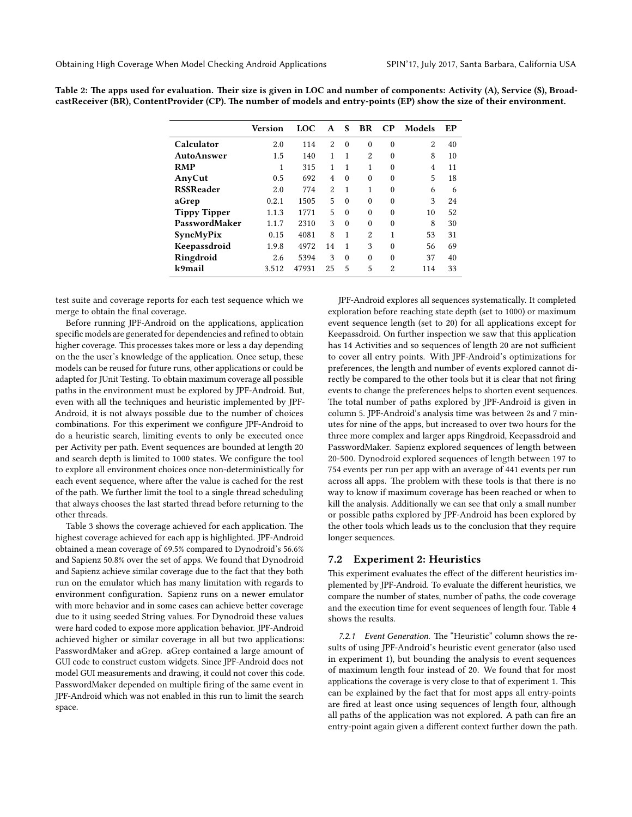|                     | Version | <b>LOC</b> | A              | S.       | <b>BR</b>      | $\bf CP$       | Models         | EP |
|---------------------|---------|------------|----------------|----------|----------------|----------------|----------------|----|
| Calculator          | 2.0     | 114        | $\mathcal{D}$  | $\Omega$ | $\Omega$       | $\Omega$       | $\overline{2}$ | 40 |
| <b>AutoAnswer</b>   | 1.5     | 140        | 1              | 1        | $\overline{2}$ | $\theta$       | 8              | 10 |
| <b>RMP</b>          | 1       | 315        | 1              | 1        | 1              | $\Omega$       | $\overline{4}$ | 11 |
| AnyCut              | 0.5     | 692        | $\overline{4}$ | $\Omega$ | $\Omega$       | $\Omega$       | 5              | 18 |
| <b>RSSReader</b>    | 2.0     | 774        | $\mathfrak{D}$ | 1        | 1              | $\Omega$       | 6              | 6  |
| aGrep               | 0.2.1   | 1505       | 5              | $\Omega$ | $\Omega$       | $\theta$       | 3              | 24 |
| <b>Tippy Tipper</b> | 1.1.3   | 1771       | 5              | $\Omega$ | $\Omega$       | $\Omega$       | 10             | 52 |
| PasswordMaker       | 1.1.7   | 2310       | 3              | $\Omega$ | $\Omega$       | $\Omega$       | 8              | 30 |
| SyncMyPix           | 0.15    | 4081       | 8              | 1        | $\mathcal{D}$  | 1              | 53             | 31 |
| Keepassdroid        | 1.9.8   | 4972       | 14             | 1        | 3              | $\Omega$       | 56             | 69 |
| Ringdroid           | 2.6     | 5394       | 3              | $\Omega$ | $\Omega$       | $\Omega$       | 37             | 40 |
| k9mail              | 3.512   | 47931      | 25             | 5        | 5              | $\overline{2}$ | 114            | 33 |

<span id="page-6-0"></span>Table 2: The apps used for evaluation. Their size is given in LOC and number of components: Activity (A), Service (S), BroadcastReceiver (BR), ContentProvider (CP). The number of models and entry-points (EP) show the size of their environment.

test suite and coverage reports for each test sequence which we merge to obtain the final coverage.

Before running JPF-Android on the applications, application specific models are generated for dependencies and refined to obtain higher coverage. This processes takes more or less a day depending on the the user's knowledge of the application. Once setup, these models can be reused for future runs, other applications or could be adapted for JUnit Testing. To obtain maximum coverage all possible paths in the environment must be explored by JPF-Android. But, even with all the techniques and heuristic implemented by JPF-Android, it is not always possible due to the number of choices combinations. For this experiment we configure JPF-Android to do a heuristic search, limiting events to only be executed once per Activity per path. Event sequences are bounded at length 20 and search depth is limited to 1000 states. We configure the tool to explore all environment choices once non-deterministically for each event sequence, where after the value is cached for the rest of the path. We further limit the tool to a single thread scheduling that always chooses the last started thread before returning to the other threads.

Table [3](#page-7-0) shows the coverage achieved for each application. The highest coverage achieved for each app is highlighted. JPF-Android obtained a mean coverage of 69.5% compared to Dynodroid's 56.6% and Sapienz 50.8% over the set of apps. We found that Dynodroid and Sapienz achieve similar coverage due to the fact that they both run on the emulator which has many limitation with regards to environment configuration. Sapienz runs on a newer emulator with more behavior and in some cases can achieve better coverage due to it using seeded String values. For Dynodroid these values were hard coded to expose more application behavior. JPF-Android achieved higher or similar coverage in all but two applications: PasswordMaker and aGrep. aGrep contained a large amount of GUI code to construct custom widgets. Since JPF-Android does not model GUI measurements and drawing, it could not cover this code. PasswordMaker depended on multiple firing of the same event in JPF-Android which was not enabled in this run to limit the search space.

JPF-Android explores all sequences systematically. It completed exploration before reaching state depth (set to 1000) or maximum event sequence length (set to 20) for all applications except for Keepassdroid. On further inspection we saw that this application has 14 Activities and so sequences of length 20 are not sufficient to cover all entry points. With JPF-Android's optimizations for preferences, the length and number of events explored cannot directly be compared to the other tools but it is clear that not firing events to change the preferences helps to shorten event sequences. The total number of paths explored by JPF-Android is given in column 5. JPF-Android's analysis time was between 2s and 7 minutes for nine of the apps, but increased to over two hours for the three more complex and larger apps Ringdroid, Keepassdroid and PasswordMaker. Sapienz explored sequences of length between 20-500. Dynodroid explored sequences of length between 197 to 754 events per run per app with an average of 441 events per run across all apps. The problem with these tools is that there is no way to know if maximum coverage has been reached or when to kill the analysis. Additionally we can see that only a small number or possible paths explored by JPF-Android has been explored by the other tools which leads us to the conclusion that they require longer sequences.

#### 7.2 Experiment 2: Heuristics

This experiment evaluates the effect of the different heuristics implemented by JPF-Android. To evaluate the different heuristics, we compare the number of states, number of paths, the code coverage and the execution time for event sequences of length four. Table [4](#page-7-1) shows the results.

7.2.1 Event Generation. The "Heuristic" column shows the results of using JPF-Android's heuristic event generator (also used in experiment 1), but bounding the analysis to event sequences of maximum length four instead of 20. We found that for most applications the coverage is very close to that of experiment 1. This can be explained by the fact that for most apps all entry-points are fired at least once using sequences of length four, although all paths of the application was not explored. A path can fire an entry-point again given a different context further down the path.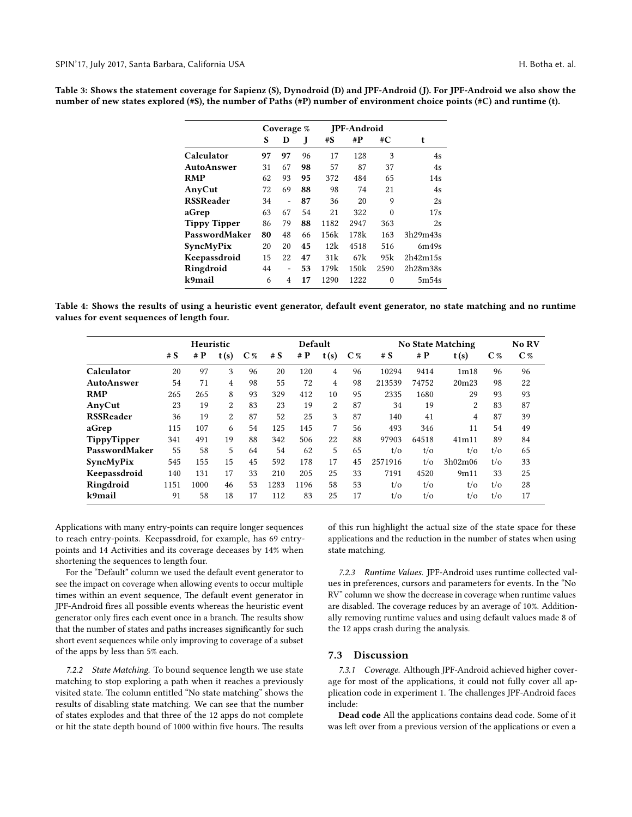<span id="page-7-0"></span>Table 3: Shows the statement coverage for Sapienz (S), Dynodroid (D) and JPF-Android (J). For JPF-Android we also show the number of new states explored (#S), the number of Paths (#P) number of environment choice points (#C) and runtime (t).

|                     |    | Coverage %     |    |       | <b>IPF-Android</b> |          |          |
|---------------------|----|----------------|----|-------|--------------------|----------|----------|
|                     | S  | D              | J  | $\#S$ | $\#P$              | #C       | t        |
| Calculator          | 97 | 97             | 96 | 17    | 128                | 3        | 4s       |
| AutoAnswer          | 31 | 67             | 98 | 57    | 87                 | 37       | 4s       |
| RMP                 | 62 | 93             | 95 | 372   | 484                | 65       | 14s      |
| AnyCut              | 72 | 69             | 88 | 98    | 74                 | 21       | 4s       |
| RSSReader           | 34 | $\overline{a}$ | 87 | 36    | 20                 | 9        | 2s       |
| aGrep               | 63 | 67             | 54 | 21    | 322                | $\theta$ | 17s      |
| <b>Tippy Tipper</b> | 86 | 79             | 88 | 1182  | 2947               | 363      | 2s       |
| PasswordMaker       | 80 | 48             | 66 | 156k  | 178k               | 163      | 3h29m43s |
| SyncMyPix           | 20 | 20             | 45 | 12k   | 4518               | 516      | 6m49s    |
| Keepassdroid        | 15 | 22             | 47 | 31k   | 67k                | 95k      | 2h42m15s |
| Ringdroid           | 44 | ۰              | 53 | 179k  | 150k               | 2590     | 2h28m38s |
| k9mail              | 6  | 4              | 17 | 1290  | 1222               | $\theta$ | 5m54s    |
|                     |    |                |    |       |                    |          |          |

<span id="page-7-1"></span>Table 4: Shows the results of using a heuristic event generator, default event generator, no state matching and no runtime values for event sequences of length four.

|                  | Heuristic |      |                |                | Default |       |      |       | <b>No State Matching</b> |                |                |                | No RV          |
|------------------|-----------|------|----------------|----------------|---------|-------|------|-------|--------------------------|----------------|----------------|----------------|----------------|
|                  | # S       | #P   | t(s)           | C <sub>%</sub> | # S     | # $P$ | t(s) | $C\%$ | # S                      | #P             | t(s)           | C <sub>%</sub> | C <sub>%</sub> |
| Calculator       | 20        | 97   | 3              | 96             | 20      | 120   | 4    | 96    | 10294                    | 9414           | 1m18           | 96             | 96             |
| AutoAnswer       | 54        | 71   | $\overline{4}$ | 98             | 55      | 72    | 4    | 98    | 213539                   | 74752          | 20m23          | 98             | 22             |
| <b>RMP</b>       | 265       | 265  | 8              | 93             | 329     | 412   | 10   | 95    | 2335                     | 1680           | 29             | 93             | 93             |
| AnyCut           | 23        | 19   | 2              | 83             | 23      | 19    | 2    | 87    | 34                       | 19             | 2              | 83             | 87             |
| <b>RSSReader</b> | 36        | 19   | 2              | 87             | 52      | 25    | 3    | 87    | 140                      | 41             | $\overline{4}$ | 87             | 39             |
| aGrep            | 115       | 107  | 6              | 54             | 125     | 145   | 7    | 56    | 493                      | 346            | 11             | 54             | 49             |
| TippyTipper      | 341       | 491  | 19             | 88             | 342     | 506   | 22   | 88    | 97903                    | 64518          | 41m11          | 89             | 84             |
| PasswordMaker    | 55        | 58   | 5              | 64             | 54      | 62    | 5    | 65    | $t/\sigma$               | $t/\mathrm{o}$ | $t/\sigma$     | $t/\sigma$     | 65             |
| SyncMyPix        | 545       | 155  | 15             | 45             | 592     | 178   | 17   | 45    | 2571916                  | $t/\sigma$     | 3h02m06        | $t/\sigma$     | 33             |
| Keepassdroid     | 140       | 131  | 17             | 33             | 210     | 205   | 25   | 33    | 7191                     | 4520           | 9m11           | 33             | 25             |
| Ringdroid        | 1151      | 1000 | 46             | 53             | 1283    | 1196  | 58   | 53    | $t/\sigma$               | $t/\sigma$     | $t/\sigma$     | $t/\sigma$     | 28             |
| k9mail           | 91        | 58   | 18             | 17             | 112     | 83    | 25   | 17    | $t/\sigma$               | $t/\sigma$     | $t/\mathrm{o}$ | $t/\sigma$     | 17             |

Applications with many entry-points can require longer sequences to reach entry-points. Keepassdroid, for example, has 69 entrypoints and 14 Activities and its coverage deceases by 14% when shortening the sequences to length four.

For the "Default" column we used the default event generator to see the impact on coverage when allowing events to occur multiple times within an event sequence, The default event generator in JPF-Android fires all possible events whereas the heuristic event generator only fires each event once in a branch. The results show that the number of states and paths increases significantly for such short event sequences while only improving to coverage of a subset of the apps by less than 5% each.

7.2.2 State Matching. To bound sequence length we use state matching to stop exploring a path when it reaches a previously visited state. The column entitled "No state matching" shows the results of disabling state matching. We can see that the number of states explodes and that three of the 12 apps do not complete or hit the state depth bound of 1000 within five hours. The results of this run highlight the actual size of the state space for these applications and the reduction in the number of states when using state matching.

7.2.3 Runtime Values. JPF-Android uses runtime collected values in preferences, cursors and parameters for events. In the "No RV" column we show the decrease in coverage when runtime values are disabled. The coverage reduces by an average of 10%. Additionally removing runtime values and using default values made 8 of the 12 apps crash during the analysis.

#### 7.3 Discussion

7.3.1 Coverage. Although JPF-Android achieved higher coverage for most of the applications, it could not fully cover all application code in experiment 1. The challenges JPF-Android faces include:

Dead code All the applications contains dead code. Some of it was left over from a previous version of the applications or even a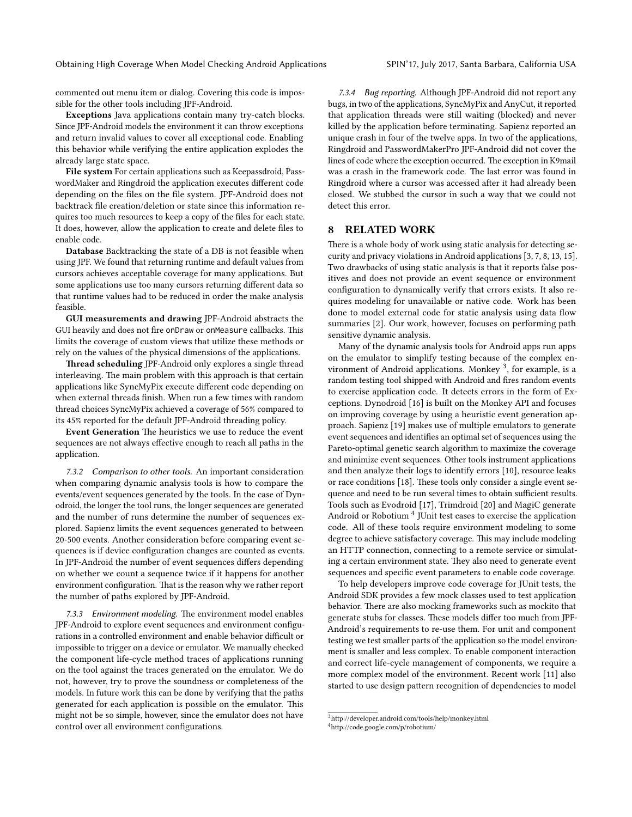commented out menu item or dialog. Covering this code is impossible for the other tools including JPF-Android.

Exceptions Java applications contain many try-catch blocks. Since JPF-Android models the environment it can throw exceptions and return invalid values to cover all exceptional code. Enabling this behavior while verifying the entire application explodes the already large state space.

File system For certain applications such as Keepassdroid, PasswordMaker and Ringdroid the application executes different code depending on the files on the file system. JPF-Android does not backtrack file creation/deletion or state since this information requires too much resources to keep a copy of the files for each state. It does, however, allow the application to create and delete files to enable code.

Database Backtracking the state of a DB is not feasible when using JPF. We found that returning runtime and default values from cursors achieves acceptable coverage for many applications. But some applications use too many cursors returning different data so that runtime values had to be reduced in order the make analysis feasible.

GUI measurements and drawing JPF-Android abstracts the GUI heavily and does not fire onDraw or onMeasure callbacks. This limits the coverage of custom views that utilize these methods or rely on the values of the physical dimensions of the applications.

Thread scheduling JPF-Android only explores a single thread interleaving. The main problem with this approach is that certain applications like SyncMyPix execute different code depending on when external threads finish. When run a few times with random thread choices SyncMyPix achieved a coverage of 56% compared to its 45% reported for the default JPF-Android threading policy.

Event Generation The heuristics we use to reduce the event sequences are not always effective enough to reach all paths in the application.

7.3.2 Comparison to other tools. An important consideration when comparing dynamic analysis tools is how to compare the events/event sequences generated by the tools. In the case of Dynodroid, the longer the tool runs, the longer sequences are generated and the number of runs determine the number of sequences explored. Sapienz limits the event sequences generated to between 20-500 events. Another consideration before comparing event sequences is if device configuration changes are counted as events. In JPF-Android the number of event sequences differs depending on whether we count a sequence twice if it happens for another environment configuration. That is the reason why we rather report the number of paths explored by JPF-Android.

7.3.3 Environment modeling. The environment model enables JPF-Android to explore event sequences and environment configurations in a controlled environment and enable behavior difficult or impossible to trigger on a device or emulator. We manually checked the component life-cycle method traces of applications running on the tool against the traces generated on the emulator. We do not, however, try to prove the soundness or completeness of the models. In future work this can be done by verifying that the paths generated for each application is possible on the emulator. This might not be so simple, however, since the emulator does not have control over all environment configurations.

7.3.4 Bug reporting. Although JPF-Android did not report any bugs, in two of the applications, SyncMyPix and AnyCut, it reported that application threads were still waiting (blocked) and never killed by the application before terminating. Sapienz reported an unique crash in four of the twelve apps. In two of the applications, Ringdroid and PasswordMakerPro JPF-Android did not cover the lines of code where the exception occurred. The exception in K9mail was a crash in the framework code. The last error was found in Ringdroid where a cursor was accessed after it had already been closed. We stubbed the cursor in such a way that we could not detect this error.

## 8 RELATED WORK

There is a whole body of work using static analysis for detecting security and privacy violations in Android applications [\[3,](#page-9-14) [7,](#page-9-15) [8,](#page-9-16) [13,](#page-9-17) [15\]](#page-9-18). Two drawbacks of using static analysis is that it reports false positives and does not provide an event sequence or environment configuration to dynamically verify that errors exists. It also requires modeling for unavailable or native code. Work has been done to model external code for static analysis using data flow summaries [\[2\]](#page-9-19). Our work, however, focuses on performing path sensitive dynamic analysis.

Many of the dynamic analysis tools for Android apps run apps on the emulator to simplify testing because of the complex en-vironment of Android applications. Monkey <sup>[3](#page-8-0)</sup>, for example, is a random testing tool shipped with Android and fires random events to exercise application code. It detects errors in the form of Exceptions. Dynodroid [\[16\]](#page-9-2) is built on the Monkey API and focuses on improving coverage by using a heuristic event generation approach. Sapienz [\[19\]](#page-9-5) makes use of multiple emulators to generate event sequences and identifies an optimal set of sequences using the Pareto-optimal genetic search algorithm to maximize the coverage and minimize event sequences. Other tools instrument applications and then analyze their logs to identify errors [\[10\]](#page-9-20), resource leaks or race conditions [\[18\]](#page-9-3). These tools only consider a single event sequence and need to be run several times to obtain sufficient results. Tools such as Evodroid [\[17\]](#page-9-21), Trimdroid [\[20\]](#page-9-4) and MagiC generate Android or Robotium  $^4$  $^4$  JUnit test cases to exercise the application code. All of these tools require environment modeling to some degree to achieve satisfactory coverage. This may include modeling an HTTP connection, connecting to a remote service or simulating a certain environment state. They also need to generate event sequences and specific event parameters to enable code coverage.

To help developers improve code coverage for JUnit tests, the Android SDK provides a few mock classes used to test application behavior. There are also mocking frameworks such as mockito that generate stubs for classes. These models differ too much from JPF-Android's requirements to re-use them. For unit and component testing we test smaller parts of the application so the model environment is smaller and less complex. To enable component interaction and correct life-cycle management of components, we require a more complex model of the environment. Recent work [\[11\]](#page-9-22) also started to use design pattern recognition of dependencies to model

<span id="page-8-0"></span> $3$ http://developer.android.com/tools/help/monkey.html

<span id="page-8-1"></span><sup>4</sup>[hp://code.google.com/p/robotium/](http://code.google.com/p/robotium/)